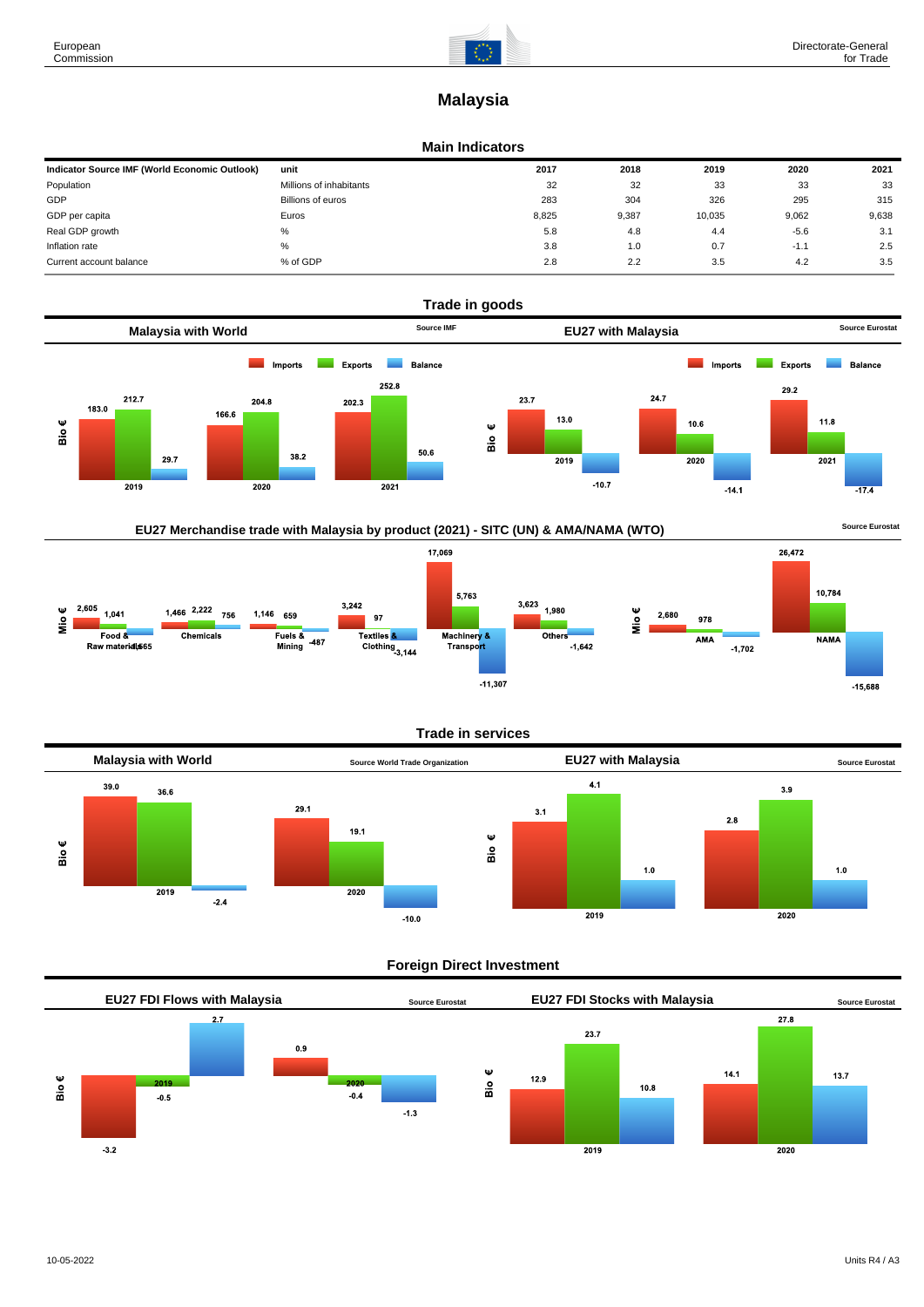

# **Malaysia**

#### **Main Indicators**

| Indicator Source IMF (World Economic Outlook) | unit                    | 2017  | 2018  | 2019   | 2020   | 2021  |
|-----------------------------------------------|-------------------------|-------|-------|--------|--------|-------|
| Population                                    | Millions of inhabitants | 32    | 32    | 33     | 33     | 33    |
| GDP                                           | Billions of euros       | 283   | 304   | 326    | 295    | 315   |
| GDP per capita                                | Euros                   | 8.825 | 9,387 | 10,035 | 9,062  | 9,638 |
| Real GDP growth                               | %                       | 5.8   | 4.8   | 4.4    | $-5.6$ | 3.1   |
| Inflation rate                                | %                       | 3.8   | 1.0   | 0.7    | $-1.1$ | 2.5   |
| Current account balance                       | % of GDP                | 2.8   | 2.2   | 3.5    | 4.2    | 3.5   |





# **Trade in services**



# **Foreign Direct Investment**